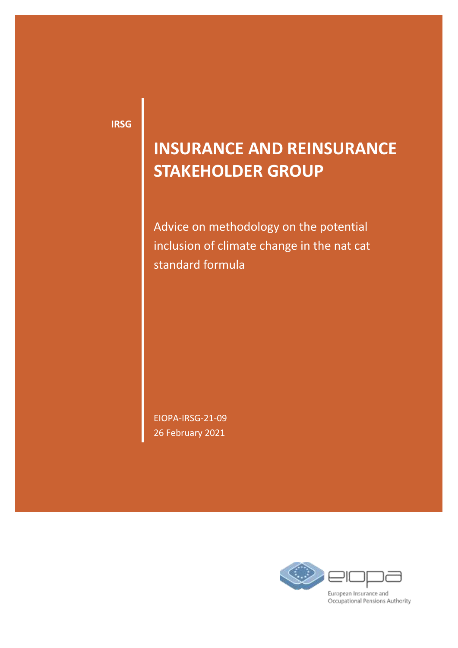**IRSG**

## **INSURANCE AND REINSURANCE STAKEHOLDER GROUP**

Advice on methodology on the potential inclusion of climate change in the nat cat standard formula

EIOPA-IRSG-21-09 26 February 2021

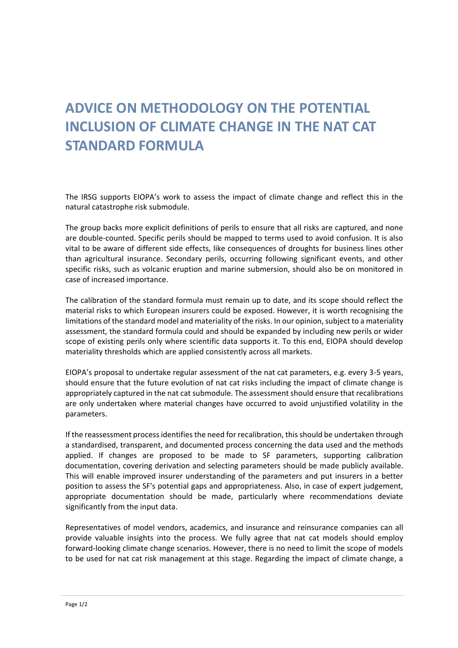## **ADVICE ON METHODOLOGY ON THE POTENTIAL INCLUSION OF CLIMATE CHANGE IN THE NAT CAT STANDARD FORMULA**

The IRSG supports EIOPA's work to assess the impact of climate change and reflect this in the natural catastrophe risk submodule.

The group backs more explicit definitions of perils to ensure that all risks are captured, and none are double-counted. Specific perils should be mapped to terms used to avoid confusion. It is also vital to be aware of different side effects, like consequences of droughts for business lines other than agricultural insurance. Secondary perils, occurring following significant events, and other specific risks, such as volcanic eruption and marine submersion, should also be on monitored in case of increased importance.

The calibration of the standard formula must remain up to date, and its scope should reflect the material risks to which European insurers could be exposed. However, it is worth recognising the limitations of the standard model and materiality of the risks. In our opinion, subject to a materiality assessment, the standard formula could and should be expanded by including new perils or wider scope of existing perils only where scientific data supports it. To this end, EIOPA should develop materiality thresholds which are applied consistently across all markets.

EIOPA's proposal to undertake regular assessment of the nat cat parameters, e.g. every 3-5 years, should ensure that the future evolution of nat cat risks including the impact of climate change is appropriately captured in the nat cat submodule. The assessment should ensure that recalibrations are only undertaken where material changes have occurred to avoid unjustified volatility in the parameters.

If the reassessment process identifies the need for recalibration, this should be undertaken through a standardised, transparent, and documented process concerning the data used and the methods applied. If changes are proposed to be made to SF parameters, supporting calibration documentation, covering derivation and selecting parameters should be made publicly available. This will enable improved insurer understanding of the parameters and put insurers in a better position to assess the SF's potential gaps and appropriateness. Also, in case of expert judgement, appropriate documentation should be made, particularly where recommendations deviate significantly from the input data.

Representatives of model vendors, academics, and insurance and reinsurance companies can all provide valuable insights into the process. We fully agree that nat cat models should employ forward-looking climate change scenarios. However, there is no need to limit the scope of models to be used for nat cat risk management at this stage. Regarding the impact of climate change, a